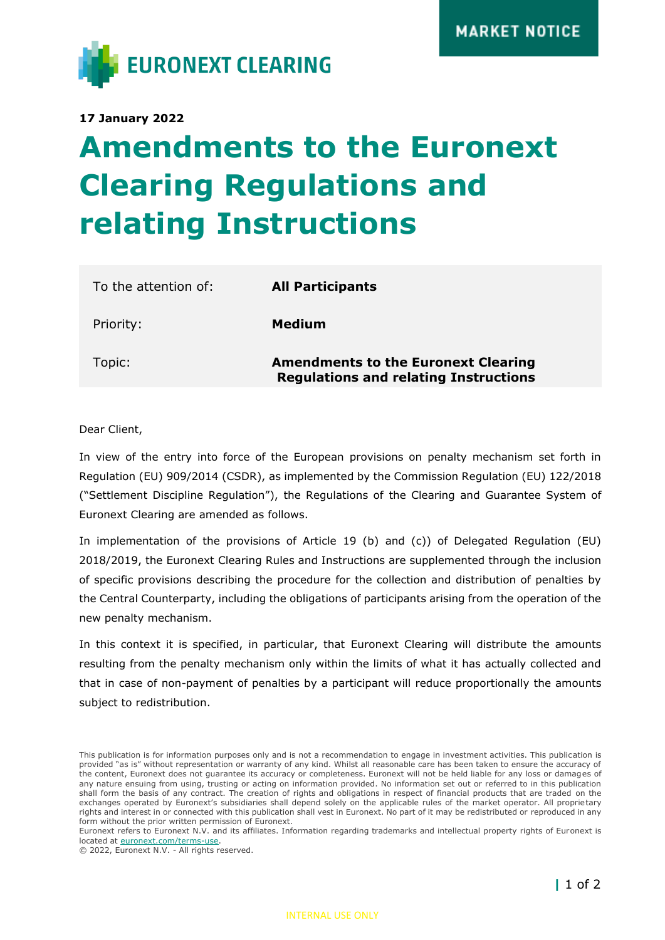

**17 January 2022**

## **Amendments to the Euronext Clearing Regulations and relating Instructions**

| To the attention of: | <b>All Participants</b>                                                                    |
|----------------------|--------------------------------------------------------------------------------------------|
| Priority:            | Medium                                                                                     |
| Topic:               | <b>Amendments to the Euronext Clearing</b><br><b>Regulations and relating Instructions</b> |

Dear Client,

In view of the entry into force of the European provisions on penalty mechanism set forth in Regulation (EU) 909/2014 (CSDR), as implemented by the Commission Regulation (EU) 122/2018 ("Settlement Discipline Regulation"), the Regulations of the Clearing and Guarantee System of Euronext Clearing are amended as follows.

In implementation of the provisions of Article 19 (b) and (c)) of Delegated Regulation (EU) 2018/2019, the Euronext Clearing Rules and Instructions are supplemented through the inclusion of specific provisions describing the procedure for the collection and distribution of penalties by the Central Counterparty, including the obligations of participants arising from the operation of the new penalty mechanism.

In this context it is specified, in particular, that Euronext Clearing will distribute the amounts resulting from the penalty mechanism only within the limits of what it has actually collected and that in case of non-payment of penalties by a participant will reduce proportionally the amounts subject to redistribution.

This publication is for information purposes only and is not a recommendation to engage in investment activities. This publication is provided "as is" without representation or warranty of any kind. Whilst all reasonable care has been taken to ensure the accuracy of the content, Euronext does not guarantee its accuracy or completeness. Euronext will not be held liable for any loss or damages of any nature ensuing from using, trusting or acting on information provided. No information set out or referred to in this publication shall form the basis of any contract. The creation of rights and obligations in respect of financial products that are traded on the exchanges operated by Euronext's subsidiaries shall depend solely on the applicable rules of the market operator. All proprietary rights and interest in or connected with this publication shall vest in Euronext. No part of it may be redistributed or reproduced in any form without the prior written permission of Euronext.

Euronext refers to Euronext N.V. and its affiliates. Information regarding trademarks and intellectual property rights of Euronext is located at [euronext.com/terms-use.](https://www.euronext.com/terms-use)

<sup>© 2022,</sup> Euronext N.V. - All rights reserved.